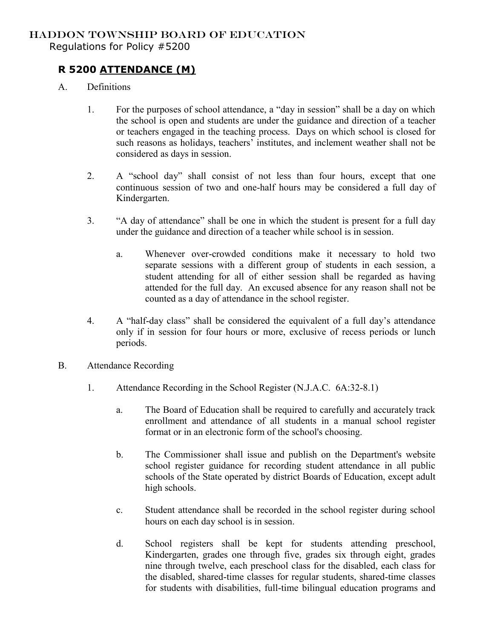## HADDON TOWNSHIP BOARD OF EDUCATION Regulations for Policy #5200

## **R 5200 ATTENDANCE (M)**

- A. Definitions
	- 1. For the purposes of school attendance, a "day in session" shall be a day on which the school is open and students are under the guidance and direction of a teacher or teachers engaged in the teaching process. Days on which school is closed for such reasons as holidays, teachers' institutes, and inclement weather shall not be considered as days in session.
	- 2. A "school day" shall consist of not less than four hours, except that one continuous session of two and one-half hours may be considered a full day of Kindergarten.
	- 3. "A day of attendance" shall be one in which the student is present for a full day under the guidance and direction of a teacher while school is in session.
		- a. Whenever over-crowded conditions make it necessary to hold two separate sessions with a different group of students in each session, a student attending for all of either session shall be regarded as having attended for the full day. An excused absence for any reason shall not be counted as a day of attendance in the school register.
	- 4. A "half-day class" shall be considered the equivalent of a full day's attendance only if in session for four hours or more, exclusive of recess periods or lunch periods.
- B. Attendance Recording
	- 1. Attendance Recording in the School Register (N.J.A.C. 6A:32-8.1)
		- a. The Board of Education shall be required to carefully and accurately track enrollment and attendance of all students in a manual school register format or in an electronic form of the school's choosing.
		- b. The Commissioner shall issue and publish on the Department's website school register guidance for recording student attendance in all public schools of the State operated by district Boards of Education, except adult high schools.
		- c. Student attendance shall be recorded in the school register during school hours on each day school is in session.
		- d. School registers shall be kept for students attending preschool, Kindergarten, grades one through five, grades six through eight, grades nine through twelve, each preschool class for the disabled, each class for the disabled, shared-time classes for regular students, shared-time classes for students with disabilities, full-time bilingual education programs and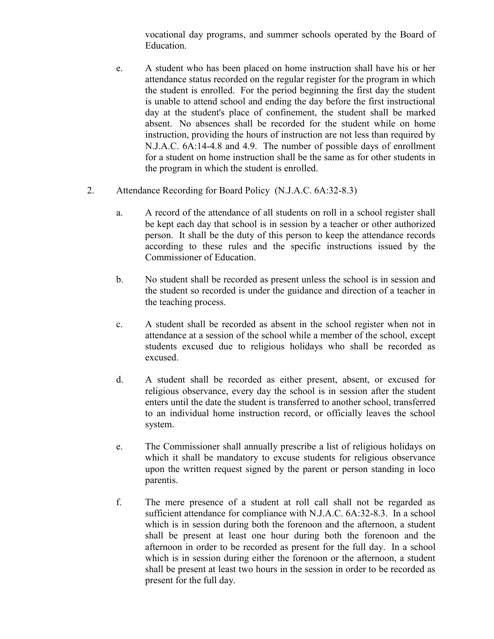vocational day programs, and summer schools operated by the Board of Education.

- e. A student who has been placed on home instruction shall have his or her attendance status recorded on the regular register for the program in which the student is enrolled. For the period beginning the first day the student is unable to attend school and ending the day before the first instructional day at the student's place of confinement, the student shall be marked absent. No absences shall be recorded for the student while on home instruction, providing the hours of instruction are not less than required by N.J.A.C. 6A:14-4.8 and 4.9. The number of possible days of enrollment for a student on home instruction shall be the same as for other students in the program in which the student is enrolled.
- 2. Attendance Recording for Board Policy (N.J.A.C. 6A:32-8.3)
	- a. A record of the attendance of all students on roll in a school register shall be kept each day that school is in session by a teacher or other authorized person. It shall be the duty of this person to keep the attendance records according to these rules and the specific instructions issued by the Commissioner of Education.
	- b. No student shall be recorded as present unless the school is in session and the student so recorded is under the guidance and direction of a teacher in the teaching process.
	- c. A student shall be recorded as absent in the school register when not in attendance at a session of the school while a member of the school, except students excused due to religious holidays who shall be recorded as excused.
	- d. A student shall be recorded as either present, absent, or excused for religious observance, every day the school is in session after the student enters until the date the student is transferred to another school, transferred to an individual home instruction record, or officially leaves the school system.
	- e. The Commissioner shall annually prescribe a list of religious holidays on which it shall be mandatory to excuse students for religious observance upon the written request signed by the parent or person standing in loco parentis.
	- f. The mere presence of a student at roll call shall not be regarded as sufficient attendance for compliance with N.J.A.C. 6A:32-8.3. In a school which is in session during both the forenoon and the afternoon, a student shall be present at least one hour during both the forenoon and the afternoon in order to be recorded as present for the full day. In a school which is in session during either the forenoon or the afternoon, a student shall be present at least two hours in the session in order to be recorded as present for the full day.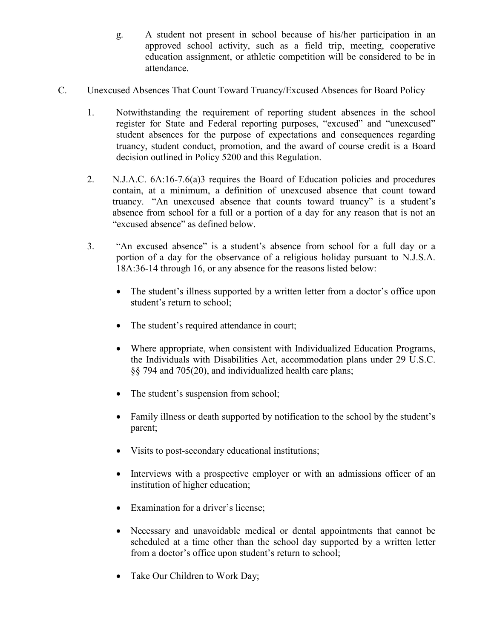g. A student not present in school because of his/her participation in an approved school activity, such as a field trip, meeting, cooperative education assignment, or athletic competition will be considered to be in attendance.

- C. Unexcused Absences That Count Toward Truancy/Excused Absences for Board Policy
	- 1. Notwithstanding the requirement of reporting student absences in the school register for State and Federal reporting purposes, "excused" and "unexcused" student absences for the purpose of expectations and consequences regarding truancy, student conduct, promotion, and the award of course credit is a Board decision outlined in Policy 5200 and this Regulation.
	- 2. N.J.A.C. 6A:16-7.6(a)3 requires the Board of Education policies and procedures contain, at a minimum, a definition of unexcused absence that count toward truancy. "An unexcused absence that counts toward truancy" is a student's absence from school for a full or a portion of a day for any reason that is not an "excused absence" as defined below.
	- 3. "An excused absence" is a student's absence from school for a full day or a portion of a day for the observance of a religious holiday pursuant to N.J.S.A. 18A:36-14 through 16, or any absence for the reasons listed below:
		- The student's illness supported by a written letter from a doctor's office upon student's return to school;
		- The student's required attendance in court;
		- Where appropriate, when consistent with Individualized Education Programs, the Individuals with Disabilities Act, accommodation plans under 29 U.S.C. §§ 794 and 705(20), and individualized health care plans;
		- The student's suspension from school;
		- Family illness or death supported by notification to the school by the student's parent;
		- Visits to post-secondary educational institutions;
		- Interviews with a prospective employer or with an admissions officer of an institution of higher education;
		- Examination for a driver's license;
		- Necessary and unavoidable medical or dental appointments that cannot be scheduled at a time other than the school day supported by a written letter from a doctor's office upon student's return to school;
		- Take Our Children to Work Day;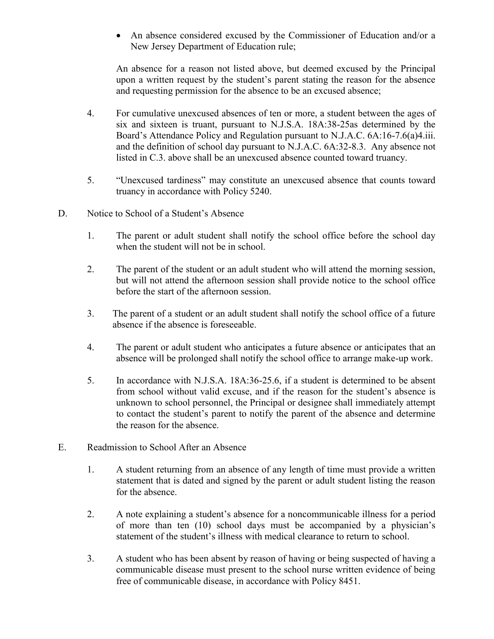An absence considered excused by the Commissioner of Education and/or a New Jersey Department of Education rule;

An absence for a reason not listed above, but deemed excused by the Principal upon a written request by the student's parent stating the reason for the absence and requesting permission for the absence to be an excused absence;

- 4. For cumulative unexcused absences of ten or more, a student between the ages of six and sixteen is truant, pursuant to N.J.S.A. 18A:38-25as determined by the Board's Attendance Policy and Regulation pursuant to N.J.A.C. 6A:16-7.6(a)4.iii. and the definition of school day pursuant to N.J.A.C. 6A:32-8.3. Any absence not listed in C.3. above shall be an unexcused absence counted toward truancy.
- 5. "Unexcused tardiness" may constitute an unexcused absence that counts toward truancy in accordance with Policy 5240.
- D. Notice to School of a Student's Absence
	- 1. The parent or adult student shall notify the school office before the school day when the student will not be in school.
	- 2. The parent of the student or an adult student who will attend the morning session, but will not attend the afternoon session shall provide notice to the school office before the start of the afternoon session.
	- 3. The parent of a student or an adult student shall notify the school office of a future absence if the absence is foreseeable.
	- 4. The parent or adult student who anticipates a future absence or anticipates that an absence will be prolonged shall notify the school office to arrange make-up work.
	- 5. In accordance with N.J.S.A. 18A:36-25.6, if a student is determined to be absent from school without valid excuse, and if the reason for the student's absence is unknown to school personnel, the Principal or designee shall immediately attempt to contact the student's parent to notify the parent of the absence and determine the reason for the absence.
- E. Readmission to School After an Absence
	- 1. A student returning from an absence of any length of time must provide a written statement that is dated and signed by the parent or adult student listing the reason for the absence.
	- 2. A note explaining a student's absence for a noncommunicable illness for a period of more than ten (10) school days must be accompanied by a physician's statement of the student's illness with medical clearance to return to school.
	- 3. A student who has been absent by reason of having or being suspected of having a communicable disease must present to the school nurse written evidence of being free of communicable disease, in accordance with Policy 8451.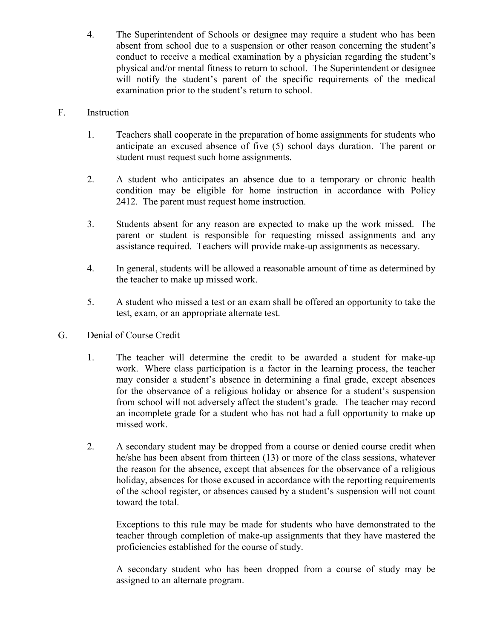4. The Superintendent of Schools or designee may require a student who has been absent from school due to a suspension or other reason concerning the student's conduct to receive a medical examination by a physician regarding the student's physical and/or mental fitness to return to school. The Superintendent or designee will notify the student's parent of the specific requirements of the medical examination prior to the student's return to school.

## F. Instruction

- 1. Teachers shall cooperate in the preparation of home assignments for students who anticipate an excused absence of five (5) school days duration. The parent or student must request such home assignments.
- 2. A student who anticipates an absence due to a temporary or chronic health condition may be eligible for home instruction in accordance with Policy 2412. The parent must request home instruction.
- 3. Students absent for any reason are expected to make up the work missed. The parent or student is responsible for requesting missed assignments and any assistance required. Teachers will provide make-up assignments as necessary.
- 4. In general, students will be allowed a reasonable amount of time as determined by the teacher to make up missed work.
- 5. A student who missed a test or an exam shall be offered an opportunity to take the test, exam, or an appropriate alternate test.
- G. Denial of Course Credit
	- 1. The teacher will determine the credit to be awarded a student for make-up work. Where class participation is a factor in the learning process, the teacher may consider a student's absence in determining a final grade, except absences for the observance of a religious holiday or absence for a student's suspension from school will not adversely affect the student's grade. The teacher may record an incomplete grade for a student who has not had a full opportunity to make up missed work.
	- 2. A secondary student may be dropped from a course or denied course credit when he/she has been absent from thirteen (13) or more of the class sessions, whatever the reason for the absence, except that absences for the observance of a religious holiday, absences for those excused in accordance with the reporting requirements of the school register, or absences caused by a student's suspension will not count toward the total.

Exceptions to this rule may be made for students who have demonstrated to the teacher through completion of make-up assignments that they have mastered the proficiencies established for the course of study.

A secondary student who has been dropped from a course of study may be assigned to an alternate program.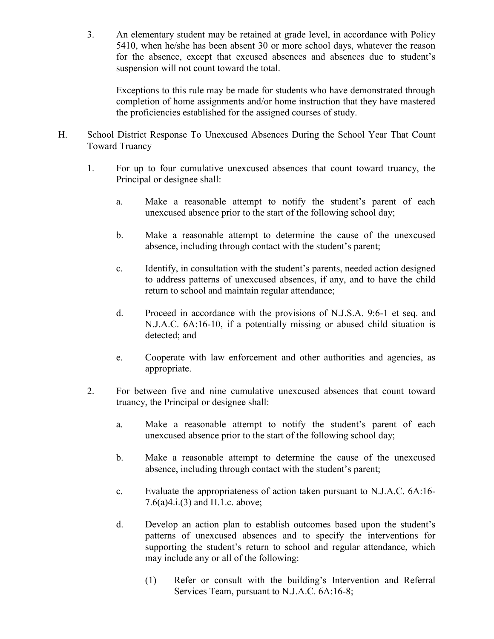3. An elementary student may be retained at grade level, in accordance with Policy 5410, when he/she has been absent 30 or more school days, whatever the reason for the absence, except that excused absences and absences due to student's suspension will not count toward the total.

Exceptions to this rule may be made for students who have demonstrated through completion of home assignments and/or home instruction that they have mastered the proficiencies established for the assigned courses of study.

- H. School District Response To Unexcused Absences During the School Year That Count Toward Truancy
	- 1. For up to four cumulative unexcused absences that count toward truancy, the Principal or designee shall:
		- a. Make a reasonable attempt to notify the student's parent of each unexcused absence prior to the start of the following school day;
		- b. Make a reasonable attempt to determine the cause of the unexcused absence, including through contact with the student's parent;
		- c. Identify, in consultation with the student's parents, needed action designed to address patterns of unexcused absences, if any, and to have the child return to school and maintain regular attendance;
		- d. Proceed in accordance with the provisions of N.J.S.A. 9:6-1 et seq. and N.J.A.C. 6A:16-10, if a potentially missing or abused child situation is detected; and
		- e. Cooperate with law enforcement and other authorities and agencies, as appropriate.
	- 2. For between five and nine cumulative unexcused absences that count toward truancy, the Principal or designee shall:
		- a. Make a reasonable attempt to notify the student's parent of each unexcused absence prior to the start of the following school day;
		- b. Make a reasonable attempt to determine the cause of the unexcused absence, including through contact with the student's parent;
		- c. Evaluate the appropriateness of action taken pursuant to N.J.A.C. 6A:16- 7.6(a)4.i.(3) and H.1.c. above;
		- d. Develop an action plan to establish outcomes based upon the student's patterns of unexcused absences and to specify the interventions for supporting the student's return to school and regular attendance, which may include any or all of the following:
			- (1) Refer or consult with the building's Intervention and Referral Services Team, pursuant to N.J.A.C. 6A:16-8;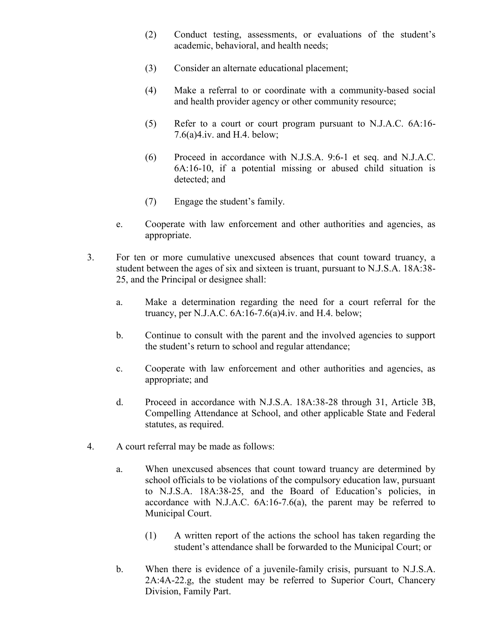- (2) Conduct testing, assessments, or evaluations of the student's academic, behavioral, and health needs;
- (3) Consider an alternate educational placement;
- (4) Make a referral to or coordinate with a community-based social and health provider agency or other community resource;
- (5) Refer to a court or court program pursuant to N.J.A.C. 6A:16- 7.6(a)4.iv. and H.4. below;
- (6) Proceed in accordance with N.J.S.A. 9:6-1 et seq. and N.J.A.C. 6A:16-10, if a potential missing or abused child situation is detected; and
- (7) Engage the student's family.
- e. Cooperate with law enforcement and other authorities and agencies, as appropriate.
- 3. For ten or more cumulative unexcused absences that count toward truancy, a student between the ages of six and sixteen is truant, pursuant to N.J.S.A. 18A:38- 25, and the Principal or designee shall:
	- a. Make a determination regarding the need for a court referral for the truancy, per N.J.A.C. 6A:16-7.6(a)4.iv. and H.4. below;
	- b. Continue to consult with the parent and the involved agencies to support the student's return to school and regular attendance;
	- c. Cooperate with law enforcement and other authorities and agencies, as appropriate; and
	- d. Proceed in accordance with N.J.S.A. 18A:38-28 through 31, Article 3B, Compelling Attendance at School, and other applicable State and Federal statutes, as required.
- 4. A court referral may be made as follows:
	- a. When unexcused absences that count toward truancy are determined by school officials to be violations of the compulsory education law, pursuant to N.J.S.A. 18A:38-25, and the Board of Education's policies, in accordance with N.J.A.C. 6A:16-7.6(a), the parent may be referred to Municipal Court.
		- (1) A written report of the actions the school has taken regarding the student's attendance shall be forwarded to the Municipal Court; or
	- b. When there is evidence of a juvenile-family crisis, pursuant to N.J.S.A. 2A:4A-22.g, the student may be referred to Superior Court, Chancery Division, Family Part.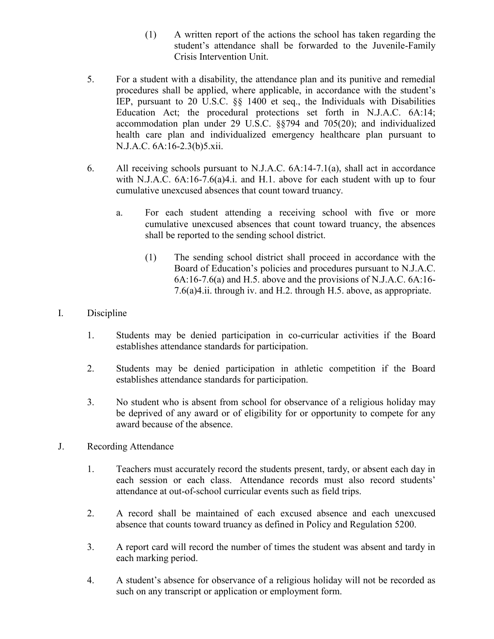- (1) A written report of the actions the school has taken regarding the student's attendance shall be forwarded to the Juvenile-Family Crisis Intervention Unit.
- 5. For a student with a disability, the attendance plan and its punitive and remedial procedures shall be applied, where applicable, in accordance with the student's IEP, pursuant to 20 U.S.C. §§ 1400 et seq., the Individuals with Disabilities Education Act; the procedural protections set forth in N.J.A.C. 6A:14; accommodation plan under 29 U.S.C. §§794 and 705(20); and individualized health care plan and individualized emergency healthcare plan pursuant to N.J.A.C. 6A:16-2.3(b)5.xii.
- 6. All receiving schools pursuant to N.J.A.C. 6A:14-7.1(a), shall act in accordance with N.J.A.C. 6A:16-7.6(a)4.i. and H.1. above for each student with up to four cumulative unexcused absences that count toward truancy.
	- a. For each student attending a receiving school with five or more cumulative unexcused absences that count toward truancy, the absences shall be reported to the sending school district.
		- (1) The sending school district shall proceed in accordance with the Board of Education's policies and procedures pursuant to N.J.A.C. 6A:16-7.6(a) and H.5. above and the provisions of N.J.A.C. 6A:16- 7.6(a)4.ii. through iv. and H.2. through H.5. above, as appropriate.
- I. Discipline
	- 1. Students may be denied participation in co-curricular activities if the Board establishes attendance standards for participation.
	- 2. Students may be denied participation in athletic competition if the Board establishes attendance standards for participation.
	- 3. No student who is absent from school for observance of a religious holiday may be deprived of any award or of eligibility for or opportunity to compete for any award because of the absence.
- J. Recording Attendance
	- 1. Teachers must accurately record the students present, tardy, or absent each day in each session or each class. Attendance records must also record students' attendance at out-of-school curricular events such as field trips.
	- 2. A record shall be maintained of each excused absence and each unexcused absence that counts toward truancy as defined in Policy and Regulation 5200.
	- 3. A report card will record the number of times the student was absent and tardy in each marking period.
	- 4. A student's absence for observance of a religious holiday will not be recorded as such on any transcript or application or employment form.